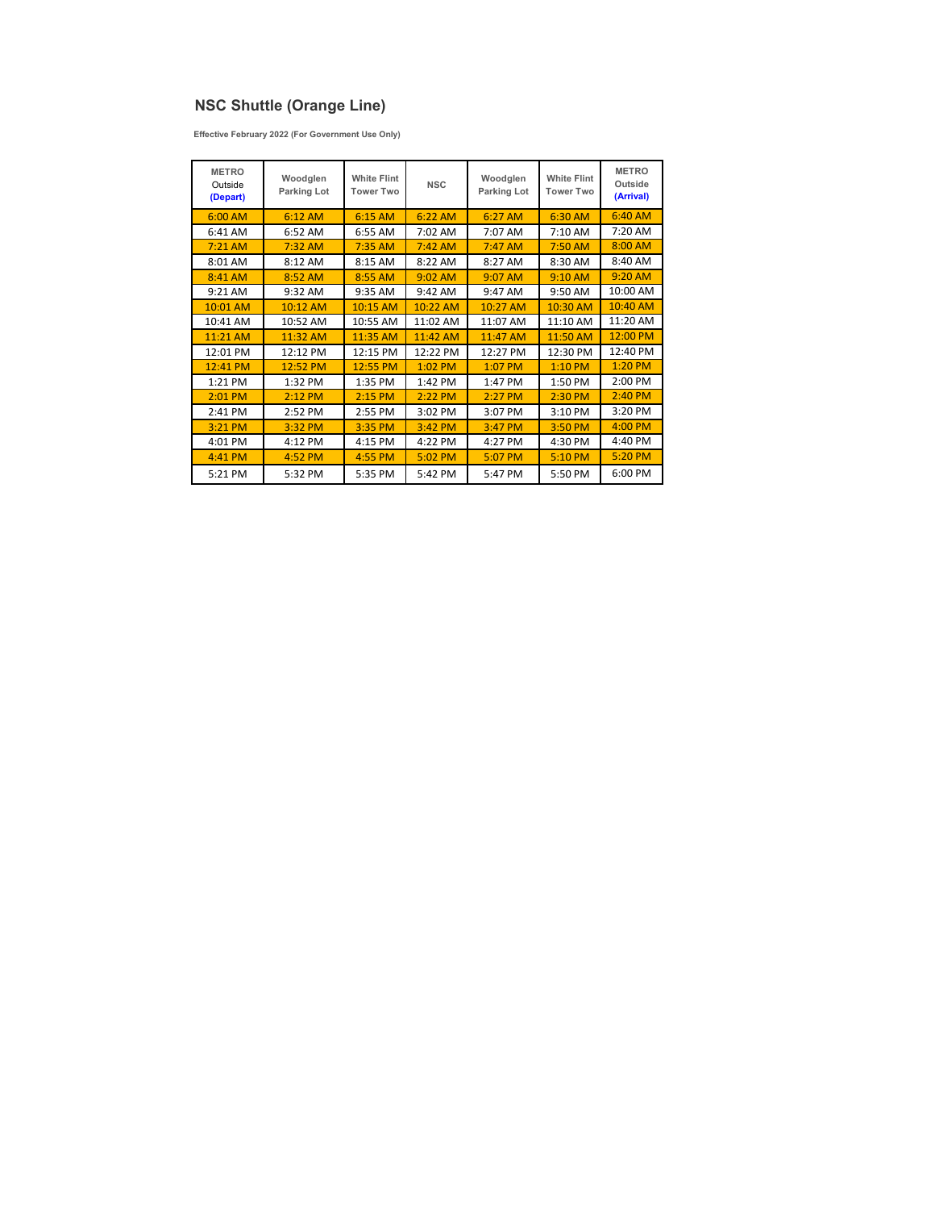## **NSC Shuttle (Orange Line)**

**Effective February 2022 (For Government Use Only)**

| <b>METRO</b><br>Outside<br>(Depart) | Woodglen<br>Parking Lot | <b>White Flint</b><br><b>Tower Two</b> | <b>NSC</b> | Woodglen<br>Parking Lot | <b>White Flint</b><br><b>Tower Two</b> | <b>METRO</b><br>Outside<br>(Arrival) |
|-------------------------------------|-------------------------|----------------------------------------|------------|-------------------------|----------------------------------------|--------------------------------------|
| $6:00$ AM                           | $6:12$ AM               | $6:15$ AM                              | 6:22 AM    | 6:27 AM                 | 6:30 AM                                | 6:40 AM                              |
| 6:41 AM                             | 6:52 AM                 | 6:55 AM                                | 7:02 AM    | 7:07 AM                 | 7:10 AM                                | 7:20 AM                              |
| $7:21$ AM                           | $7:32$ AM               | $7:35$ AM                              | $7:42$ AM  | 7:47 AM                 | 7:50 AM                                | 8:00 AM                              |
| 8:01 AM                             | 8:12 AM                 | 8:15 AM                                | 8:22 AM    | 8:27 AM                 | 8:30 AM                                | 8:40 AM                              |
| 8:41 AM                             | 8:52 AM                 | 8:55 AM                                | $9:02$ AM  | 9:07 AM                 | 9:10 AM                                | 9:20 AM                              |
| 9:21 AM                             | 9:32 AM                 | 9:35 AM                                | 9:42 AM    | 9:47 AM                 | 9:50 AM                                | 10:00 AM                             |
| 10:01 AM                            | 10:12 AM                | 10:15 AM                               | 10:22 AM   | 10:27 AM                | 10:30 AM                               | 10:40 AM                             |
| 10:41 AM                            | 10:52 AM                | 10:55 AM                               | 11:02 AM   | 11:07 AM                | 11:10 AM                               | 11:20 AM                             |
| 11:21 AM                            | 11:32 AM                | 11:35 AM                               | 11:42 AM   | 11:47 AM                | 11:50 AM                               | 12:00 PM                             |
| 12:01 PM                            | 12:12 PM                | 12:15 PM                               | 12:22 PM   | 12:27 PM                | 12:30 PM                               | 12:40 PM                             |
| 12:41 PM                            | 12:52 PM                | 12:55 PM                               | 1:02 PM    | 1:07 PM                 | $1:10$ PM                              | 1:20 PM                              |
| 1:21 PM                             | 1:32 PM                 | 1:35 PM                                | 1:42 PM    | 1:47 PM                 | 1:50 PM                                | 2:00 PM                              |
| 2:01 PM                             | $2:12$ PM               | $2:15$ PM                              | 2:22 PM    | 2:27 PM                 | 2:30 PM                                | $2:40$ PM                            |
| 2:41 PM                             | 2:52 PM                 | 2:55 PM                                | 3:02 PM    | 3:07 PM                 | 3:10 PM                                | 3:20 PM                              |
| 3:21 PM                             | 3:32 PM                 | 3:35 PM                                | 3:42 PM    | 3:47 PM                 | 3:50 PM                                | 4:00 PM                              |
| 4:01 PM                             | 4:12 PM                 | 4:15 PM                                | 4:22 PM    | 4:27 PM                 | 4:30 PM                                | 4:40 PM                              |
| 4:41 PM                             | 4:52 PM                 | 4:55 PM                                | 5:02 PM    | 5:07 PM                 | 5:10 PM                                | 5:20 PM                              |
| 5:21 PM                             | 5:32 PM                 | 5:35 PM                                | 5:42 PM    | 5:47 PM                 | 5:50 PM                                | 6:00 PM                              |